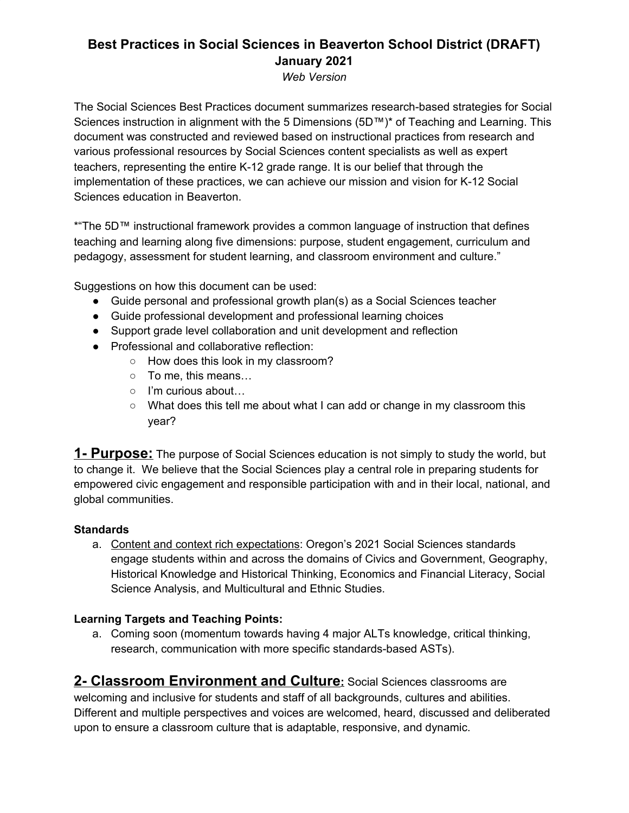# **Best Practices in Social Sciences in Beaverton School District (DRAFT) January 2021**

*Web Version*

The Social Sciences Best Practices document summarizes research-based strategies for Social Sciences instruction in alignment with the 5 Dimensions (5D™)\* of Teaching and Learning. This document was constructed and reviewed based on instructional practices from research and various professional resources by Social Sciences content specialists as well as expert teachers, representing the entire K-12 grade range. It is our belief that through the implementation of these practices, we can achieve our mission and vision for K-12 Social Sciences education in Beaverton.

\*"The 5D™ instructional framework provides a common language of instruction that defines teaching and learning along five dimensions: purpose, student engagement, curriculum and pedagogy, assessment for student learning, and classroom environment and culture."

Suggestions on how this document can be used:

- Guide personal and professional growth plan(s) as a Social Sciences teacher
- Guide professional development and professional learning choices
- Support grade level collaboration and unit development and reflection
- Professional and collaborative reflection:
	- How does this look in my classroom?
	- To me, this means…
	- I'm curious about…
	- What does this tell me about what I can add or change in my classroom this year?

**1- Purpose:** The purpose of Social Sciences education is not simply to study the world, but to change it. We believe that the Social Sciences play a central role in preparing students for empowered civic engagement and responsible participation with and in their local, national, and global communities.

## **Standards**

a. Content and context rich expectations: Oregon's 2021 Social Sciences standards engage students within and across the domains of Civics and Government, Geography, Historical Knowledge and Historical Thinking, Economics and Financial Literacy, Social Science Analysis, and Multicultural and Ethnic Studies.

## **Learning Targets and Teaching Points:**

a. Coming soon (momentum towards having 4 major ALTs knowledge, critical thinking, research, communication with more specific standards-based ASTs).

**2- Classroom Environment and Culture:** Social Sciences classrooms are welcoming and inclusive for students and staff of all backgrounds, cultures and abilities. Different and multiple perspectives and voices are welcomed, heard, discussed and deliberated upon to ensure a classroom culture that is adaptable, responsive, and dynamic.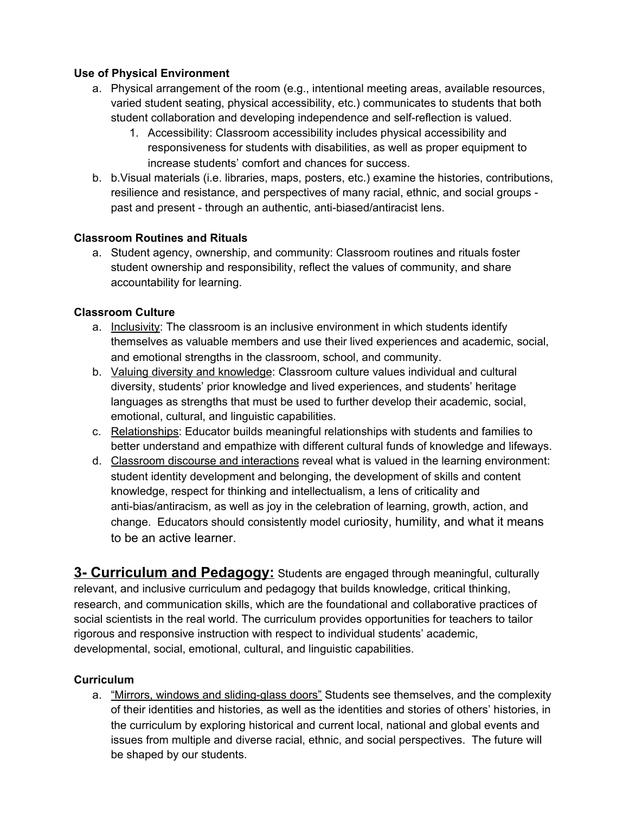## **Use of Physical Environment**

- a. Physical arrangement of the room (e.g., intentional meeting areas, available resources, varied student seating, physical accessibility, etc.) communicates to students that both student collaboration and developing independence and self-reflection is valued.
	- 1. Accessibility: Classroom accessibility includes physical accessibility and responsiveness for students with disabilities, as well as proper equipment to increase students' comfort and chances for success.
- b. b.Visual materials (i.e. libraries, maps, posters, etc.) examine the histories, contributions, resilience and resistance, and perspectives of many racial, ethnic, and social groups past and present - through an authentic, anti-biased/antiracist lens.

## **Classroom Routines and Rituals**

a. Student agency, ownership, and community: Classroom routines and rituals foster student ownership and responsibility, reflect the values of community, and share accountability for learning.

## **Classroom Culture**

- a. Inclusivity: The classroom is an inclusive environment in which students identify themselves as valuable members and use their lived experiences and academic, social, and emotional strengths in the classroom, school, and community.
- b. Valuing diversity and knowledge: Classroom culture values individual and cultural diversity, students' prior knowledge and lived experiences, and students' heritage languages as strengths that must be used to further develop their academic, social, emotional, cultural, and linguistic capabilities.
- c. Relationships: Educator builds meaningful relationships with students and families to better understand and empathize with different cultural funds of knowledge and lifeways.
- d. Classroom discourse and interactions reveal what is valued in the learning environment: student identity development and belonging, the development of skills and content knowledge, respect for thinking and intellectualism, a lens of criticality and anti-bias/antiracism, as well as joy in the celebration of learning, growth, action, and change. Educators should consistently model curiosity, humility, and what it means to be an active learner.

**3- Curriculum and Pedagogy:** Students are engaged through meaningful, culturally relevant, and inclusive curriculum and pedagogy that builds knowledge, critical thinking, research, and communication skills, which are the foundational and collaborative practices of social scientists in the real world. The curriculum provides opportunities for teachers to tailor rigorous and responsive instruction with respect to individual students' academic, developmental, social, emotional, cultural, and linguistic capabilities.

## **Curriculum**

a. "Mirrors, windows and sliding-glass doors" Students see themselves, and the complexity of their identities and histories, as well as the identities and stories of others' histories, in the curriculum by exploring historical and current local, national and global events and issues from multiple and diverse racial, ethnic, and social perspectives. The future will be shaped by our students.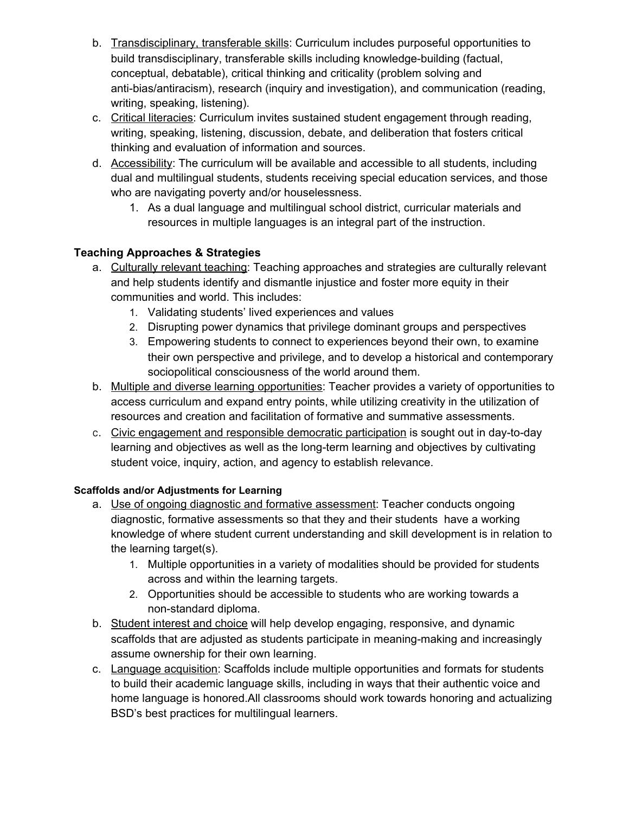- b. Transdisciplinary, transferable skills: Curriculum includes purposeful opportunities to build transdisciplinary, transferable skills including knowledge-building (factual, conceptual, debatable), critical thinking and criticality (problem solving and anti-bias/antiracism), research (inquiry and investigation), and communication (reading, writing, speaking, listening).
- c. Critical literacies: Curriculum invites sustained student engagement through reading, writing, speaking, listening, discussion, debate, and deliberation that fosters critical thinking and evaluation of information and sources.
- d. Accessibility: The curriculum will be available and accessible to all students, including dual and multilingual students, students receiving special education services, and those who are navigating poverty and/or houselessness.
	- 1. As a dual language and multilingual school district, curricular materials and resources in multiple languages is an integral part of the instruction.

## **Teaching Approaches & Strategies**

- a. Culturally relevant teaching: Teaching approaches and strategies are culturally relevant and help students identify and dismantle injustice and foster more equity in their communities and world. This includes:
	- 1. Validating students' lived experiences and values
	- 2. Disrupting power dynamics that privilege dominant groups and perspectives
	- 3. Empowering students to connect to experiences beyond their own, to examine their own perspective and privilege, and to develop a historical and contemporary sociopolitical consciousness of the world around them.
- b. Multiple and diverse learning opportunities: Teacher provides a variety of opportunities to access curriculum and expand entry points, while utilizing creativity in the utilization of resources and creation and facilitation of formative and summative assessments.
- c. Civic engagement and responsible democratic participation is sought out in day-to-day learning and objectives as well as the long-term learning and objectives by cultivating student voice, inquiry, action, and agency to establish relevance.

## **Scaffolds and/or Adjustments for Learning**

- a. Use of ongoing diagnostic and formative assessment: Teacher conducts ongoing diagnostic, formative assessments so that they and their students have a working knowledge of where student current understanding and skill development is in relation to the learning target(s).
	- 1. Multiple opportunities in a variety of modalities should be provided for students across and within the learning targets.
	- 2. Opportunities should be accessible to students who are working towards a non-standard diploma.
- b. Student interest and choice will help develop engaging, responsive, and dynamic scaffolds that are adjusted as students participate in meaning-making and increasingly assume ownership for their own learning.
- c. Language acquisition: Scaffolds include multiple opportunities and formats for students to build their academic language skills, including in ways that their authentic voice and home language is honored.All classrooms should work towards honoring and actualizing BSD's best practices for multilingual learners.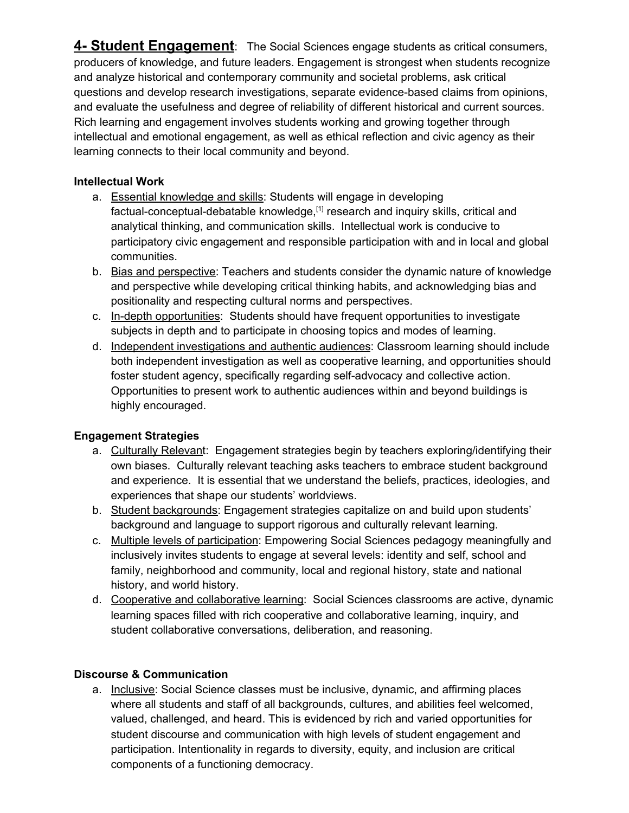**4- Student Engagement**: The Social Sciences engage students as critical consumers, producers of knowledge, and future leaders. Engagement is strongest when students recognize and analyze historical and contemporary community and societal problems, ask critical questions and develop research investigations, separate evidence-based claims from opinions, and evaluate the usefulness and degree of reliability of different historical and current sources. Rich learning and engagement involves students working and growing together through intellectual and emotional engagement, as well as ethical reflection and civic agency as their learning connects to their local community and beyond.

## **Intellectual Work**

- a. Essential knowledge and skills: Students will engage in developing factual-conceptual-debatable knowledge,<sup>[1]</sup> research and inquiry skills, critical and analytical thinking, and communication skills. Intellectual work is conducive to participatory civic engagement and responsible participation with and in local and global communities.
- b. Bias and perspective: Teachers and students consider the dynamic nature of knowledge and perspective while developing critical thinking habits, and acknowledging bias and positionality and respecting cultural norms and perspectives.
- c. In-depth opportunities: Students should have frequent opportunities to investigate subjects in depth and to participate in choosing topics and modes of learning.
- d. Independent investigations and authentic audiences: Classroom learning should include both independent investigation as well as cooperative learning, and opportunities should foster student agency, specifically regarding self-advocacy and collective action. Opportunities to present work to authentic audiences within and beyond buildings is highly encouraged.

## **Engagement Strategies**

- a. Culturally Relevant: Engagement strategies begin by teachers exploring/identifying their own biases. Culturally relevant teaching asks teachers to embrace student background and experience. It is essential that we understand the beliefs, practices, ideologies, and experiences that shape our students' worldviews.
- b. Student backgrounds: Engagement strategies capitalize on and build upon students' background and language to support rigorous and culturally relevant learning.
- c. Multiple levels of participation: Empowering Social Sciences pedagogy meaningfully and inclusively invites students to engage at several levels: identity and self, school and family, neighborhood and community, local and regional history, state and national history, and world history.
- d. Cooperative and collaborative learning: Social Sciences classrooms are active, dynamic learning spaces filled with rich cooperative and collaborative learning, inquiry, and student collaborative conversations, deliberation, and reasoning.

## **Discourse & Communication**

a. Inclusive: Social Science classes must be inclusive, dynamic, and affirming places where all students and staff of all backgrounds, cultures, and abilities feel welcomed, valued, challenged, and heard. This is evidenced by rich and varied opportunities for student discourse and communication with high levels of student engagement and participation. Intentionality in regards to diversity, equity, and inclusion are critical components of a functioning democracy.